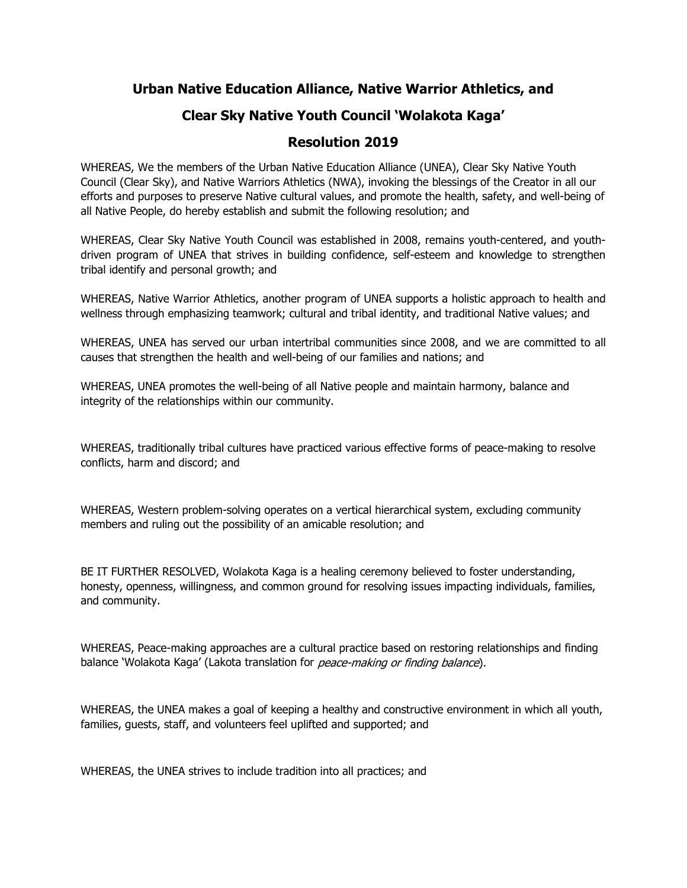## **Urban Native Education Alliance, Native Warrior Athletics, and**

# **Clear Sky Native Youth Council 'Wolakota Kaga'**

## **Resolution 2019**

WHEREAS, We the members of the Urban Native Education Alliance (UNEA), Clear Sky Native Youth Council (Clear Sky), and Native Warriors Athletics (NWA), invoking the blessings of the Creator in all our efforts and purposes to preserve Native cultural values, and promote the health, safety, and well-being of all Native People, do hereby establish and submit the following resolution; and

WHEREAS, Clear Sky Native Youth Council was established in 2008, remains youth-centered, and youthdriven program of UNEA that strives in building confidence, self-esteem and knowledge to strengthen tribal identify and personal growth; and

WHEREAS, Native Warrior Athletics, another program of UNEA supports a holistic approach to health and wellness through emphasizing teamwork; cultural and tribal identity, and traditional Native values; and

WHEREAS, UNEA has served our urban intertribal communities since 2008, and we are committed to all causes that strengthen the health and well-being of our families and nations; and

WHEREAS, UNEA promotes the well-being of all Native people and maintain harmony, balance and integrity of the relationships within our community.

WHEREAS, traditionally tribal cultures have practiced various effective forms of peace-making to resolve conflicts, harm and discord; and

WHEREAS, Western problem-solving operates on a vertical hierarchical system, excluding community members and ruling out the possibility of an amicable resolution; and

BE IT FURTHER RESOLVED, Wolakota Kaga is a healing ceremony believed to foster understanding, honesty, openness, willingness, and common ground for resolving issues impacting individuals, families, and community.

WHEREAS, Peace-making approaches are a cultural practice based on restoring relationships and finding balance 'Wolakota Kaga' (Lakota translation for *peace-making or finding balance*).

WHEREAS, the UNEA makes a goal of keeping a healthy and constructive environment in which all youth, families, guests, staff, and volunteers feel uplifted and supported; and

WHEREAS, the UNEA strives to include tradition into all practices; and